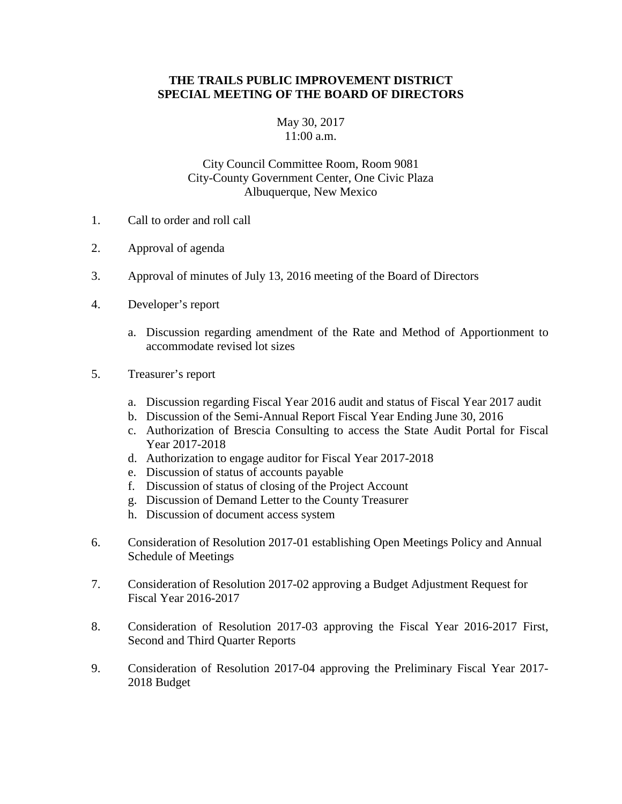## **THE TRAILS PUBLIC IMPROVEMENT DISTRICT SPECIAL MEETING OF THE BOARD OF DIRECTORS**

## May 30, 2017 11:00 a.m.

## City Council Committee Room, Room 9081 City-County Government Center, One Civic Plaza Albuquerque, New Mexico

- 1. Call to order and roll call
- 2. Approval of agenda
- 3. Approval of minutes of July 13, 2016 meeting of the Board of Directors
- 4. Developer's report
	- a. Discussion regarding amendment of the Rate and Method of Apportionment to accommodate revised lot sizes
- 5. Treasurer's report
	- a. Discussion regarding Fiscal Year 2016 audit and status of Fiscal Year 2017 audit
	- b. Discussion of the Semi-Annual Report Fiscal Year Ending June 30, 2016
	- c. Authorization of Brescia Consulting to access the State Audit Portal for Fiscal Year 2017-2018
	- d. Authorization to engage auditor for Fiscal Year 2017-2018
	- e. Discussion of status of accounts payable
	- f. Discussion of status of closing of the Project Account
	- g. Discussion of Demand Letter to the County Treasurer
	- h. Discussion of document access system
- 6. Consideration of Resolution 2017-01 establishing Open Meetings Policy and Annual Schedule of Meetings
- 7. Consideration of Resolution 2017-02 approving a Budget Adjustment Request for Fiscal Year 2016-2017
- 8. Consideration of Resolution 2017-03 approving the Fiscal Year 2016-2017 First, Second and Third Quarter Reports
- 9. Consideration of Resolution 2017-04 approving the Preliminary Fiscal Year 2017- 2018 Budget